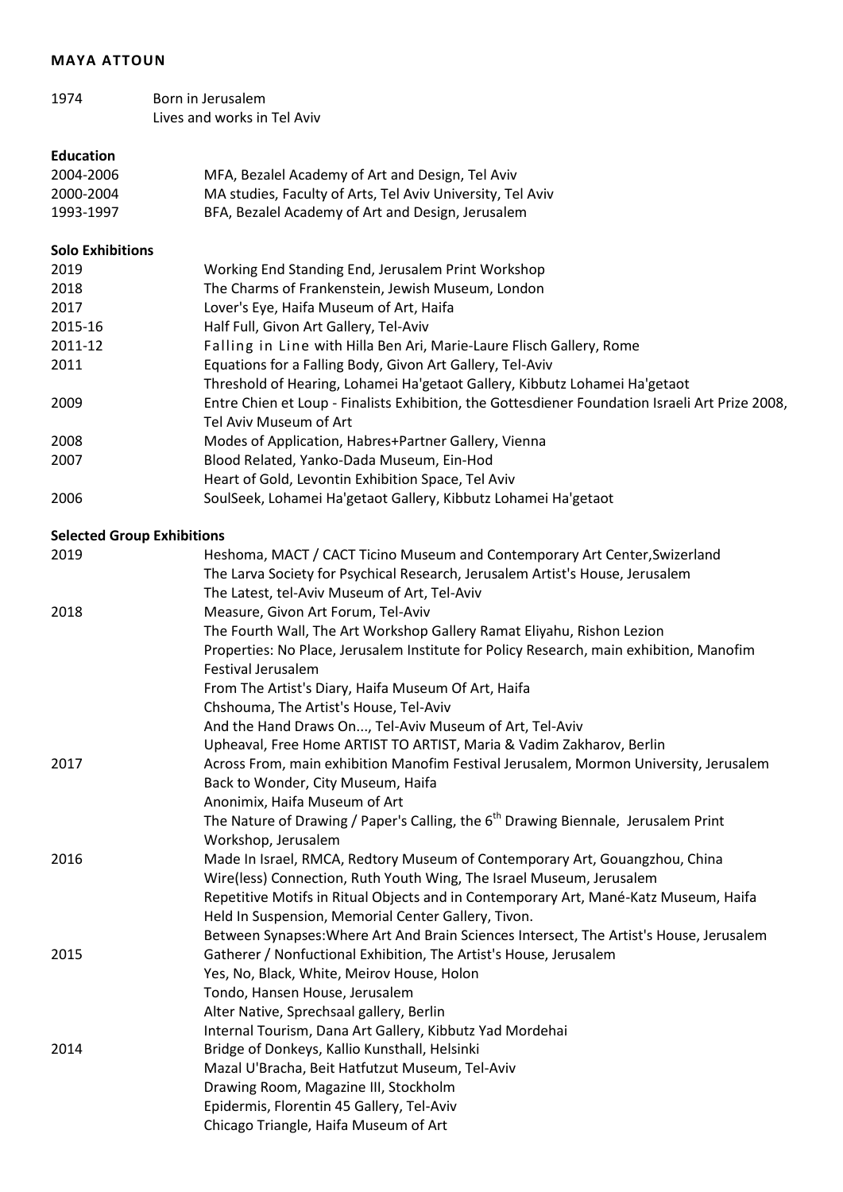#### **MAYA ATTOUN**

| 1974 | Born in Jerusalem           |
|------|-----------------------------|
|      | Lives and works in Tel Aviv |

# **Education**

| 2004-2006 | MFA, Bezalel Academy of Art and Design, Tel Aviv           |
|-----------|------------------------------------------------------------|
| 2000-2004 | MA studies, Faculty of Arts, Tel Aviv University, Tel Aviv |
|           |                                                            |

1993-1997 BFA, Bezalel Academy of Art and Design, Jerusalem

## **Solo Exhibitions**

| 2019    | Working End Standing End, Jerusalem Print Workshop                                              |
|---------|-------------------------------------------------------------------------------------------------|
| 2018    | The Charms of Frankenstein, Jewish Museum, London                                               |
| 2017    | Lover's Eye, Haifa Museum of Art, Haifa                                                         |
| 2015-16 | Half Full, Givon Art Gallery, Tel-Aviv                                                          |
| 2011-12 | Falling in Line with Hilla Ben Ari, Marie-Laure Flisch Gallery, Rome                            |
| 2011    | Equations for a Falling Body, Givon Art Gallery, Tel-Aviv                                       |
|         | Threshold of Hearing, Lohamei Ha'getaot Gallery, Kibbutz Lohamei Ha'getaot                      |
| 2009    | Entre Chien et Loup - Finalists Exhibition, the Gottesdiener Foundation Israeli Art Prize 2008, |
|         | Tel Aviv Museum of Art                                                                          |
| 2008    | Modes of Application, Habres+Partner Gallery, Vienna                                            |
| 2007    | Blood Related, Yanko-Dada Museum, Ein-Hod                                                       |
|         | Heart of Gold, Levontin Exhibition Space, Tel Aviv                                              |
| 2006    | SoulSeek, Lohamei Ha'getaot Gallery, Kibbutz Lohamei Ha'getaot                                  |

## **Selected Group Exhibitions**

| 2019 | Heshoma, MACT / CACT Ticino Museum and Contemporary Art Center, Swizerland                     |
|------|------------------------------------------------------------------------------------------------|
|      | The Larva Society for Psychical Research, Jerusalem Artist's House, Jerusalem                  |
|      | The Latest, tel-Aviv Museum of Art, Tel-Aviv                                                   |
| 2018 | Measure, Givon Art Forum, Tel-Aviv                                                             |
|      | The Fourth Wall, The Art Workshop Gallery Ramat Eliyahu, Rishon Lezion                         |
|      | Properties: No Place, Jerusalem Institute for Policy Research, main exhibition, Manofim        |
|      | <b>Festival Jerusalem</b>                                                                      |
|      | From The Artist's Diary, Haifa Museum Of Art, Haifa                                            |
|      | Chshouma, The Artist's House, Tel-Aviv                                                         |
|      | And the Hand Draws On, Tel-Aviv Museum of Art, Tel-Aviv                                        |
|      | Upheaval, Free Home ARTIST TO ARTIST, Maria & Vadim Zakharov, Berlin                           |
| 2017 | Across From, main exhibition Manofim Festival Jerusalem, Mormon University, Jerusalem          |
|      | Back to Wonder, City Museum, Haifa                                                             |
|      | Anonimix, Haifa Museum of Art                                                                  |
|      | The Nature of Drawing / Paper's Calling, the 6 <sup>th</sup> Drawing Biennale, Jerusalem Print |
|      | Workshop, Jerusalem                                                                            |
| 2016 | Made In Israel, RMCA, Redtory Museum of Contemporary Art, Gouangzhou, China                    |
|      | Wire(less) Connection, Ruth Youth Wing, The Israel Museum, Jerusalem                           |
|      | Repetitive Motifs in Ritual Objects and in Contemporary Art, Mané-Katz Museum, Haifa           |
|      | Held In Suspension, Memorial Center Gallery, Tivon.                                            |
|      | Between Synapses: Where Art And Brain Sciences Intersect, The Artist's House, Jerusalem        |
| 2015 | Gatherer / Nonfuctional Exhibition, The Artist's House, Jerusalem                              |
|      | Yes, No, Black, White, Meirov House, Holon                                                     |
|      | Tondo, Hansen House, Jerusalem                                                                 |
|      | Alter Native, Sprechsaal gallery, Berlin                                                       |
|      | Internal Tourism, Dana Art Gallery, Kibbutz Yad Mordehai                                       |
| 2014 | Bridge of Donkeys, Kallio Kunsthall, Helsinki                                                  |
|      | Mazal U'Bracha, Beit Hatfutzut Museum, Tel-Aviv                                                |
|      | Drawing Room, Magazine III, Stockholm                                                          |
|      | Epidermis, Florentin 45 Gallery, Tel-Aviv                                                      |
|      | Chicago Triangle, Haifa Museum of Art                                                          |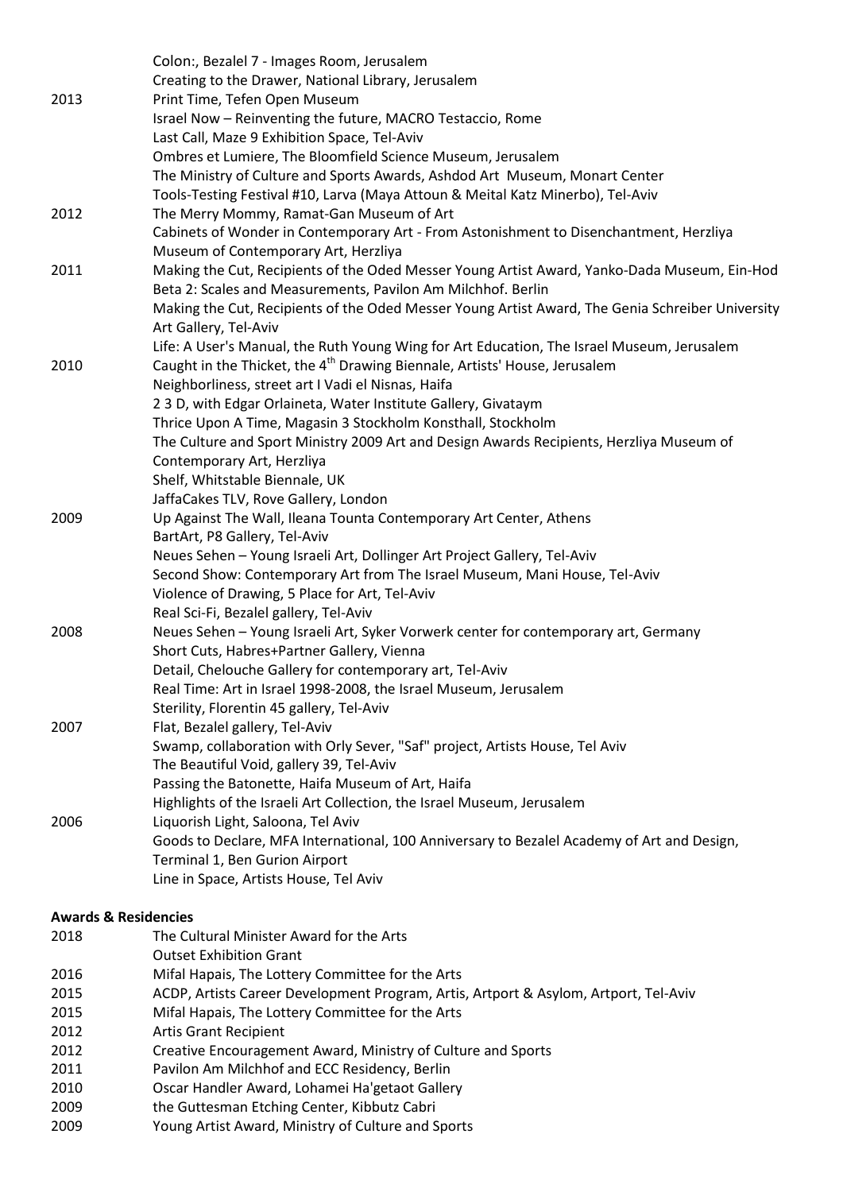|      | Colon:, Bezalel 7 - Images Room, Jerusalem                                                       |
|------|--------------------------------------------------------------------------------------------------|
|      | Creating to the Drawer, National Library, Jerusalem                                              |
| 2013 | Print Time, Tefen Open Museum                                                                    |
|      | Israel Now - Reinventing the future, MACRO Testaccio, Rome                                       |
|      | Last Call, Maze 9 Exhibition Space, Tel-Aviv                                                     |
|      | Ombres et Lumiere, The Bloomfield Science Museum, Jerusalem                                      |
|      | The Ministry of Culture and Sports Awards, Ashdod Art Museum, Monart Center                      |
|      | Tools-Testing Festival #10, Larva (Maya Attoun & Meital Katz Minerbo), Tel-Aviv                  |
| 2012 | The Merry Mommy, Ramat-Gan Museum of Art                                                         |
|      | Cabinets of Wonder in Contemporary Art - From Astonishment to Disenchantment, Herzliya           |
|      | Museum of Contemporary Art, Herzliya                                                             |
| 2011 | Making the Cut, Recipients of the Oded Messer Young Artist Award, Yanko-Dada Museum, Ein-Hod     |
|      | Beta 2: Scales and Measurements, Pavilon Am Milchhof. Berlin                                     |
|      | Making the Cut, Recipients of the Oded Messer Young Artist Award, The Genia Schreiber University |
|      | Art Gallery, Tel-Aviv                                                                            |
|      | Life: A User's Manual, the Ruth Young Wing for Art Education, The Israel Museum, Jerusalem       |
| 2010 | Caught in the Thicket, the 4 <sup>th</sup> Drawing Biennale, Artists' House, Jerusalem           |
|      | Neighborliness, street art I Vadi el Nisnas, Haifa                                               |
|      | 23D, with Edgar Orlaineta, Water Institute Gallery, Givataym                                     |
|      | Thrice Upon A Time, Magasin 3 Stockholm Konsthall, Stockholm                                     |
|      | The Culture and Sport Ministry 2009 Art and Design Awards Recipients, Herzliya Museum of         |
|      | Contemporary Art, Herzliya                                                                       |
|      | Shelf, Whitstable Biennale, UK                                                                   |
|      | JaffaCakes TLV, Rove Gallery, London                                                             |
| 2009 | Up Against The Wall, Ileana Tounta Contemporary Art Center, Athens                               |
|      | BartArt, P8 Gallery, Tel-Aviv                                                                    |
|      | Neues Sehen - Young Israeli Art, Dollinger Art Project Gallery, Tel-Aviv                         |
|      | Second Show: Contemporary Art from The Israel Museum, Mani House, Tel-Aviv                       |
|      | Violence of Drawing, 5 Place for Art, Tel-Aviv                                                   |
|      | Real Sci-Fi, Bezalel gallery, Tel-Aviv                                                           |
| 2008 | Neues Sehen - Young Israeli Art, Syker Vorwerk center for contemporary art, Germany              |
|      | Short Cuts, Habres+Partner Gallery, Vienna                                                       |
|      | Detail, Chelouche Gallery for contemporary art, Tel-Aviv                                         |
|      | Real Time: Art in Israel 1998-2008, the Israel Museum, Jerusalem                                 |
|      | Sterility, Florentin 45 gallery, Tel-Aviv                                                        |
| 2007 | Flat, Bezalel gallery, Tel-Aviv                                                                  |
|      | Swamp, collaboration with Orly Sever, "Saf" project, Artists House, Tel Aviv                     |
|      | The Beautiful Void, gallery 39, Tel-Aviv                                                         |
|      | Passing the Batonette, Haifa Museum of Art, Haifa                                                |
|      | Highlights of the Israeli Art Collection, the Israel Museum, Jerusalem                           |
| 2006 | Liquorish Light, Saloona, Tel Aviv                                                               |
|      | Goods to Declare, MFA International, 100 Anniversary to Bezalel Academy of Art and Design,       |
|      | Terminal 1, Ben Gurion Airport                                                                   |
|      | Line in Space, Artists House, Tel Aviv                                                           |
|      | <b>Awards &amp; Residencies</b>                                                                  |
| 2018 | The Cultural Minister Award for the Arts                                                         |
|      | <b>Outset Exhibition Grant</b>                                                                   |
| 2016 | Mifal Hapais, The Lottery Committee for the Arts                                                 |
| 2015 | ACDP, Artists Career Development Program, Artis, Artport & Asylom, Artport, Tel-Aviv             |
| 2015 | Mifal Hapais, The Lottery Committee for the Arts                                                 |

- 2012 Artis Grant Recipient
- 2012 Creative Encouragement Award, Ministry of Culture and Sports
- 2011 Pavilon Am Milchhof and ECC Residency, Berlin
- 2010 Oscar Handler Award, Lohamei Ha'getaot Gallery
- 2009 the Guttesman Etching Center, Kibbutz Cabri
- 2009 Young Artist Award, Ministry of Culture and Sports